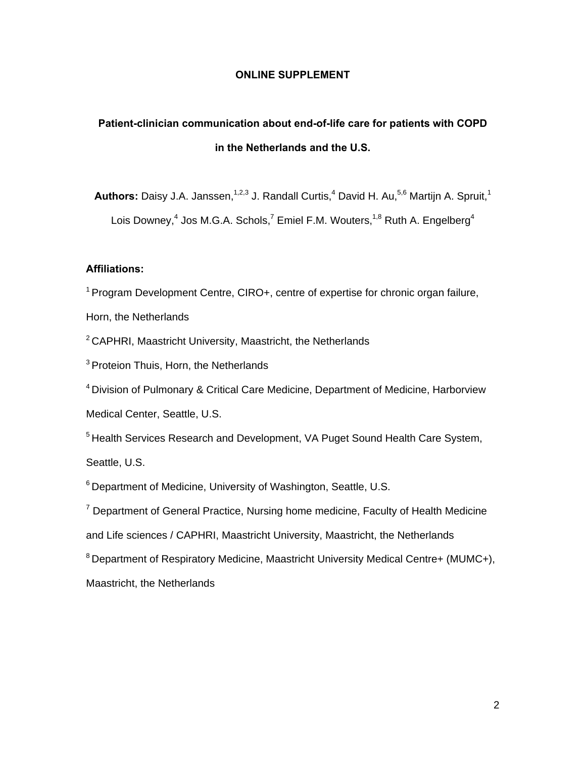### **ONLINE SUPPLEMENT**

# **Patient-clinician communication about end-of-life care for patients with COPD in the Netherlands and the U.S.**

Authors: Daisy J.A. Janssen,<sup>1,2,3</sup> J. Randall Curtis,<sup>4</sup> David H. Au,<sup>5,6</sup> Martijn A. Spruit,<sup>1</sup> Lois Downey,<sup>4</sup> Jos M.G.A. Schols,<sup>7</sup> Emiel F.M. Wouters,<sup>1,8</sup> Ruth A. Engelberg<sup>4</sup>

## **Affiliations:**

<sup>1</sup> Program Development Centre, CIRO+, centre of expertise for chronic organ failure,

Horn, the Netherlands

 $2$  CAPHRI, Maastricht University, Maastricht, the Netherlands

<sup>3</sup> Proteion Thuis, Horn, the Netherlands

4 Division of Pulmonary & Critical Care Medicine, Department of Medicine, Harborview Medical Center, Seattle, U.S.

<sup>5</sup> Health Services Research and Development, VA Puget Sound Health Care System, Seattle, U.S.

6 Department of Medicine, University of Washington, Seattle, U.S.

<sup>7</sup> Department of General Practice, Nursing home medicine, Faculty of Health Medicine and Life sciences / CAPHRI, Maastricht University, Maastricht, the Netherlands

<sup>8</sup> Department of Respiratory Medicine, Maastricht University Medical Centre+ (MUMC+), Maastricht, the Netherlands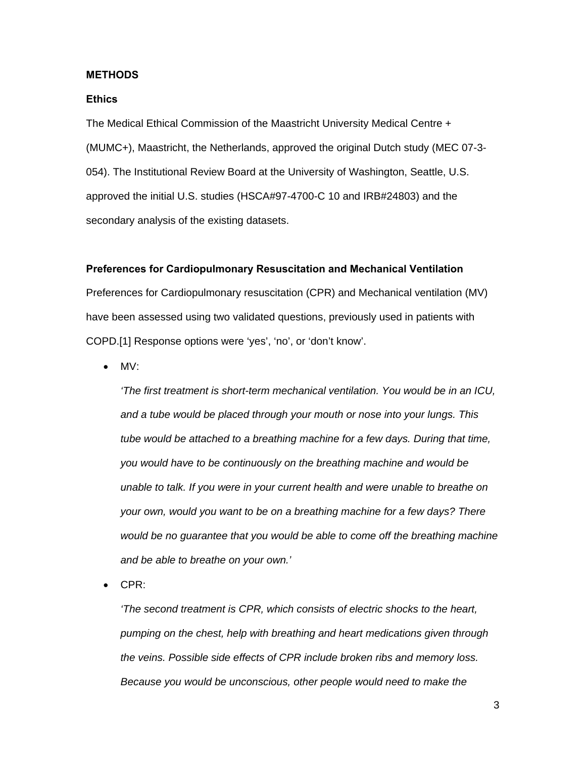#### **METHODS**

#### **Ethics**

The Medical Ethical Commission of the Maastricht University Medical Centre + (MUMC+), Maastricht, the Netherlands, approved the original Dutch study (MEC 07-3- 054). The Institutional Review Board at the University of Washington, Seattle, U.S. approved the initial U.S. studies (HSCA#97-4700-C 10 and IRB#24803) and the secondary analysis of the existing datasets.

## **Preferences for Cardiopulmonary Resuscitation and Mechanical Ventilation**

Preferences for Cardiopulmonary resuscitation (CPR) and Mechanical ventilation (MV) have been assessed using two validated questions, previously used in patients with COPD.[1] Response options were 'yes', 'no', or 'don't know'.

• MV:

*'The first treatment is short-term mechanical ventilation. You would be in an ICU, and a tube would be placed through your mouth or nose into your lungs. This tube would be attached to a breathing machine for a few days. During that time, you would have to be continuously on the breathing machine and would be unable to talk. If you were in your current health and were unable to breathe on your own, would you want to be on a breathing machine for a few days? There would be no guarantee that you would be able to come off the breathing machine and be able to breathe on your own.'* 

• CPR:

*'The second treatment is CPR, which consists of electric shocks to the heart, pumping on the chest, help with breathing and heart medications given through the veins. Possible side effects of CPR include broken ribs and memory loss. Because you would be unconscious, other people would need to make the*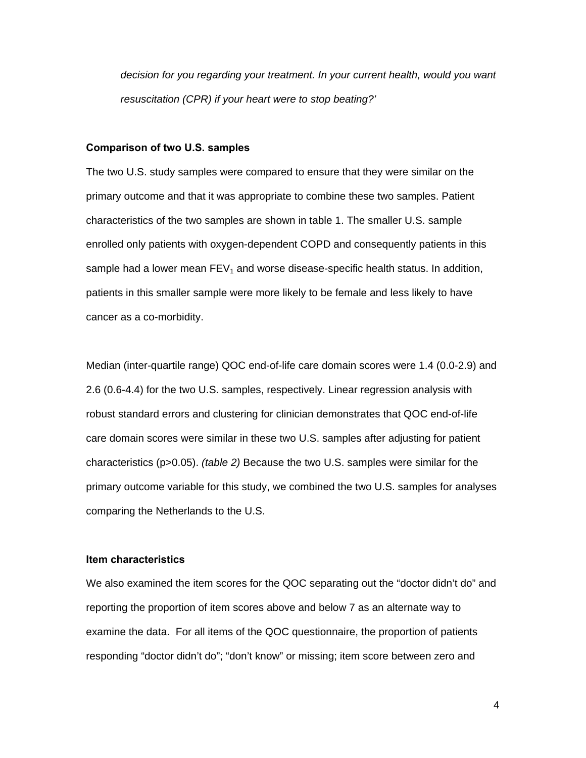*decision for you regarding your treatment. In your current health, would you want resuscitation (CPR) if your heart were to stop beating?'* 

#### **Comparison of two U.S. samples**

The two U.S. study samples were compared to ensure that they were similar on the primary outcome and that it was appropriate to combine these two samples. Patient characteristics of the two samples are shown in table 1. The smaller U.S. sample enrolled only patients with oxygen-dependent COPD and consequently patients in this sample had a lower mean  $FEV<sub>1</sub>$  and worse disease-specific health status. In addition, patients in this smaller sample were more likely to be female and less likely to have cancer as a co-morbidity.

Median (inter-quartile range) QOC end-of-life care domain scores were 1.4 (0.0-2.9) and 2.6 (0.6-4.4) for the two U.S. samples, respectively. Linear regression analysis with robust standard errors and clustering for clinician demonstrates that QOC end-of-life care domain scores were similar in these two U.S. samples after adjusting for patient characteristics (p>0.05). *(table 2)* Because the two U.S. samples were similar for the primary outcome variable for this study, we combined the two U.S. samples for analyses comparing the Netherlands to the U.S.

#### **Item characteristics**

We also examined the item scores for the QOC separating out the "doctor didn't do" and reporting the proportion of item scores above and below 7 as an alternate way to examine the data. For all items of the QOC questionnaire, the proportion of patients responding "doctor didn't do"; "don't know" or missing; item score between zero and

4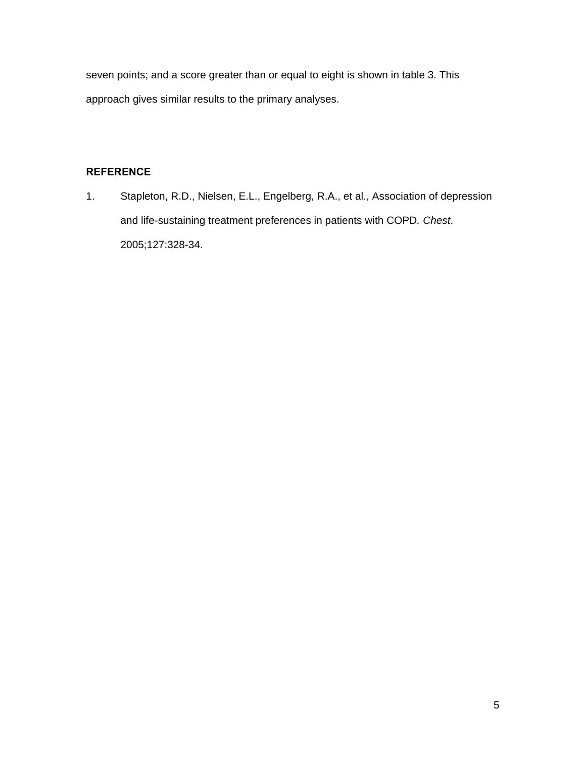seven points; and a score greater than or equal to eight is shown in table 3. This approach gives similar results to the primary analyses.

# **REFERENCE**

1. Stapleton, R.D., Nielsen, E.L., Engelberg, R.A., et al., Association of depression and life-sustaining treatment preferences in patients with COPD*. Chest*. 2005;127:328-34.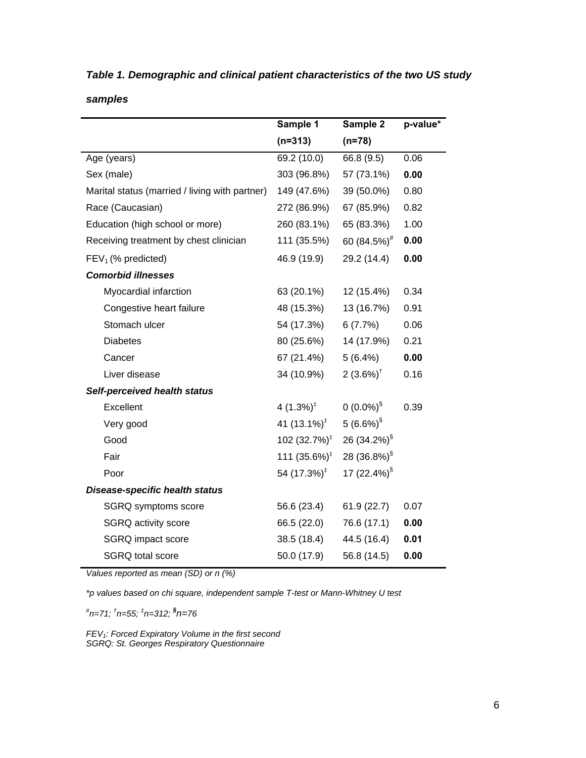| Table 1. Demographic and clinical patient characteristics of the two US study |  |
|-------------------------------------------------------------------------------|--|
|-------------------------------------------------------------------------------|--|

*samples* 

|                                                | Sample 1                  | Sample 2                | p-value* |
|------------------------------------------------|---------------------------|-------------------------|----------|
|                                                | $(n=313)$                 | $(n=78)$                |          |
| Age (years)                                    | 69.2 (10.0)               | 66.8 (9.5)              | 0.06     |
| Sex (male)                                     | 303 (96.8%)               | 57 (73.1%)              | 0.00     |
| Marital status (married / living with partner) | 149 (47.6%)               | 39 (50.0%)              | 0.80     |
| Race (Caucasian)                               | 272 (86.9%)               | 67 (85.9%)              | 0.82     |
| Education (high school or more)                | 260 (83.1%)               | 65 (83.3%)              | 1.00     |
| Receiving treatment by chest clinician         | 111 (35.5%)               | 60 (84.5%) <sup>#</sup> | 0.00     |
| $FEV1$ (% predicted)                           | 46.9 (19.9)               | 29.2 (14.4)             | 0.00     |
| <b>Comorbid illnesses</b>                      |                           |                         |          |
| Myocardial infarction                          | 63 (20.1%)                | 12 (15.4%)              | 0.34     |
| Congestive heart failure                       | 48 (15.3%)                | 13 (16.7%)              | 0.91     |
| Stomach ulcer                                  | 54 (17.3%)                | 6(7.7%)                 | 0.06     |
| <b>Diabetes</b>                                | 80 (25.6%)                | 14 (17.9%)              | 0.21     |
| Cancer                                         | 67 (21.4%)                | 5(6.4%)                 | 0.00     |
| Liver disease                                  | 34 (10.9%)                | 2 $(3.6\%)^{\dagger}$   | 0.16     |
| Self-perceived health status                   |                           |                         |          |
| Excellent                                      | 4 $(1.3\%)^{\ddagger}$    | $0(0.0\%)^{\S}$         | 0.39     |
| Very good                                      | 41 $(13.1\%)^{\ddagger}$  | $5(6.6\%)^{\S}$         |          |
| Good                                           | 102 $(32.7\%)^{\ddagger}$ | 26 (34.2%) <sup>§</sup> |          |
| Fair                                           | 111 $(35.6\%)^{\ddagger}$ | 28 (36.8%) <sup>§</sup> |          |
| Poor                                           | 54 $(17.3\%)^{\ddagger}$  | 17 (22.4%) <sup>§</sup> |          |
| <b>Disease-specific health status</b>          |                           |                         |          |
| SGRQ symptoms score                            | 56.6 (23.4)               | 61.9(22.7)              | 0.07     |
| SGRQ activity score                            | 66.5 (22.0)               | 76.6 (17.1)             | 0.00     |
| SGRQ impact score                              | 38.5 (18.4)               | 44.5 (16.4)             | 0.01     |
| <b>SGRQ</b> total score                        | 50.0 (17.9)               | 56.8 (14.5)             | 0.00     |

*Values reported as mean (SD) or n (%)* 

*\*p values based on chi square, independent sample T-test or Mann-Whitney U test* 

*# n=71; † n=55; ‡ n=312; § n=76* 

*FEV1: Forced Expiratory Volume in the first second SGRQ: St. Georges Respiratory Questionnaire*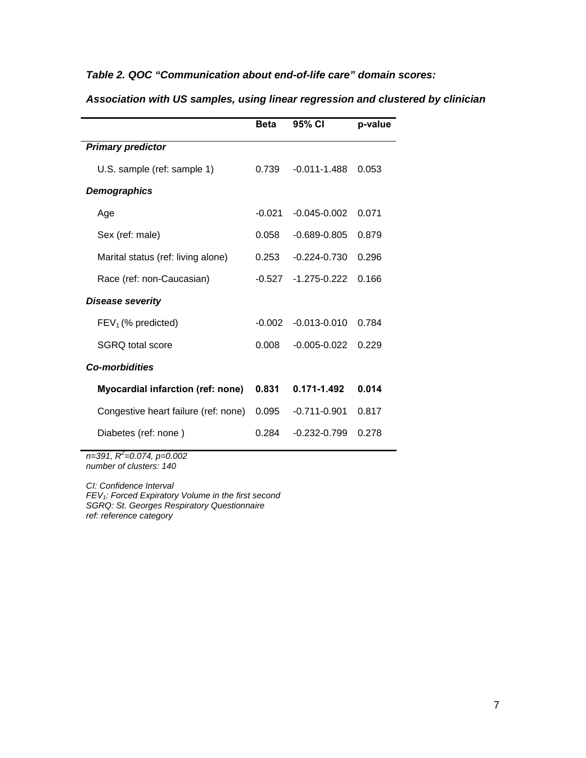# *Table 2. QOC "Communication about end-of-life care" domain scores:*

|                                          | <b>Beta</b> | 95% CI           | p-value |  |
|------------------------------------------|-------------|------------------|---------|--|
| <b>Primary predictor</b>                 |             |                  |         |  |
| U.S. sample (ref: sample 1)              | 0.739       | $-0.011 - 1.488$ | 0.053   |  |
| Demographics                             |             |                  |         |  |
| Age                                      | $-0.021$    | $-0.045 - 0.002$ | 0.071   |  |
| Sex (ref: male)                          | 0.058       | $-0.689 - 0.805$ | 0.879   |  |
| Marital status (ref: living alone)       | 0.253       | $-0.224 - 0.730$ | 0.296   |  |
| Race (ref: non-Caucasian)                | $-0.527$    | $-1.275 - 0.222$ | 0.166   |  |
| <b>Disease severity</b>                  |             |                  |         |  |
| $FEV1$ (% predicted)                     | $-0.002$    | $-0.013 - 0.010$ | 0.784   |  |
| SGRQ total score                         | 0.008       | $-0.005 - 0.022$ | 0.229   |  |
| <b>Co-morbidities</b>                    |             |                  |         |  |
| <b>Myocardial infarction (ref: none)</b> | 0.831       | 0.171-1.492      | 0.014   |  |
| Congestive heart failure (ref: none)     | 0.095       | $-0.711 - 0.901$ | 0.817   |  |
| Diabetes (ref: none)                     | 0.284       | $-0.232 - 0.799$ | 0.278   |  |
|                                          |             |                  |         |  |

*Association with US samples, using linear regression and clustered by clinician* 

*n=391, R2 =0.074, p=0.002 number of clusters: 140* 

*CI: Confidence Interval FEV1: Forced Expiratory Volume in the first second SGRQ: St. Georges Respiratory Questionnaire ref: reference category*